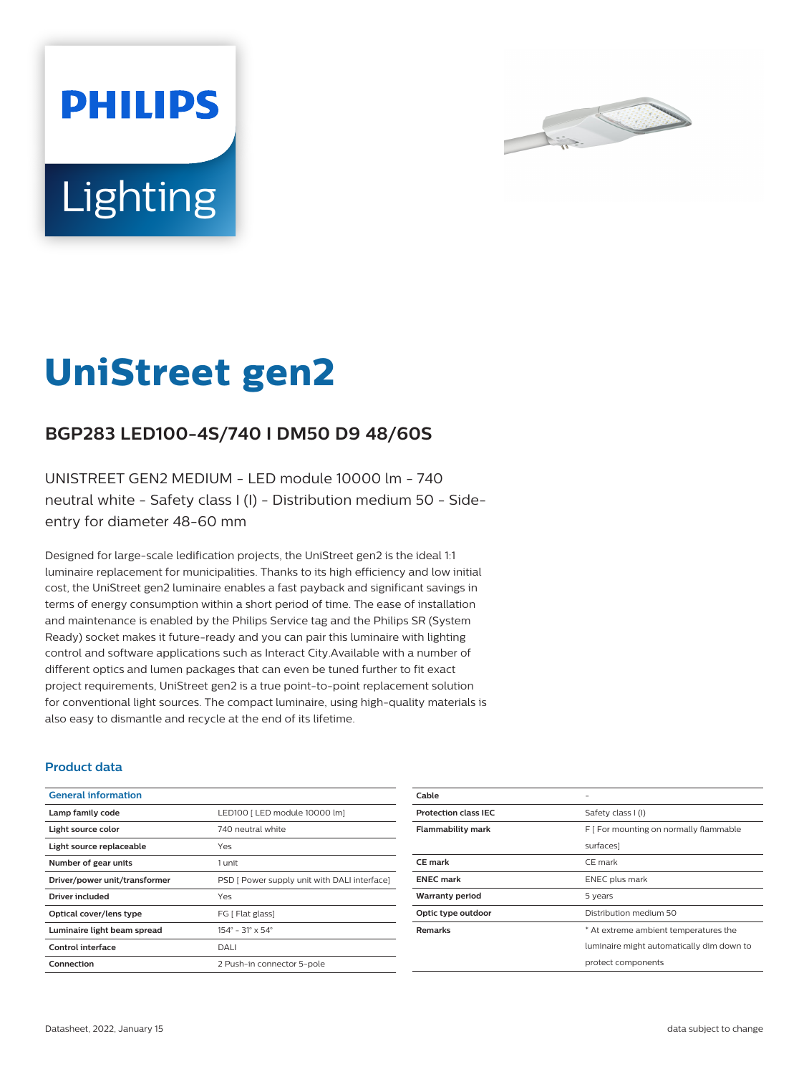



# **UniStreet gen2**

# **BGP283 LED100-4S/740 I DM50 D9 48/60S**

UNISTREET GEN2 MEDIUM - LED module 10000 lm - 740 neutral white - Safety class I (I) - Distribution medium 50 - Sideentry for diameter 48-60 mm

Designed for large-scale ledification projects, the UniStreet gen2 is the ideal 1:1 luminaire replacement for municipalities. Thanks to its high efficiency and low initial cost, the UniStreet gen2 luminaire enables a fast payback and significant savings in terms of energy consumption within a short period of time. The ease of installation and maintenance is enabled by the Philips Service tag and the Philips SR (System Ready) socket makes it future-ready and you can pair this luminaire with lighting control and software applications such as Interact City.Available with a number of different optics and lumen packages that can even be tuned further to fit exact project requirements, UniStreet gen2 is a true point-to-point replacement solution for conventional light sources. The compact luminaire, using high-quality materials is also easy to dismantle and recycle at the end of its lifetime.

#### **Product data**

| <b>General information</b>    |                                              |
|-------------------------------|----------------------------------------------|
| Lamp family code              | LED100 [ LED module 10000 lm]                |
| Light source color            | 740 neutral white                            |
| Light source replaceable      | Yes                                          |
| Number of gear units          | 1 unit                                       |
| Driver/power unit/transformer | PSD [ Power supply unit with DALI interface] |
| Driver included               | Yes                                          |
| Optical cover/lens type       | FG [ Flat glass]                             |
| Luminaire light beam spread   | $154^{\circ} - 31^{\circ} \times 54^{\circ}$ |
| Control interface             | DALI                                         |
| Connection                    | 2 Push-in connector 5-pole                   |

| Cable                       |                                           |
|-----------------------------|-------------------------------------------|
| <b>Protection class IEC</b> | Safety class I (I)                        |
| <b>Flammability mark</b>    | F [ For mounting on normally flammable    |
|                             | surfaces]                                 |
| <b>CE</b> mark              | CE mark                                   |
| <b>ENEC mark</b>            | ENEC plus mark                            |
| <b>Warranty period</b>      | 5 years                                   |
| Optic type outdoor          | Distribution medium 50                    |
| <b>Remarks</b>              | * At extreme ambient temperatures the     |
|                             | luminaire might automatically dim down to |
|                             | protect components                        |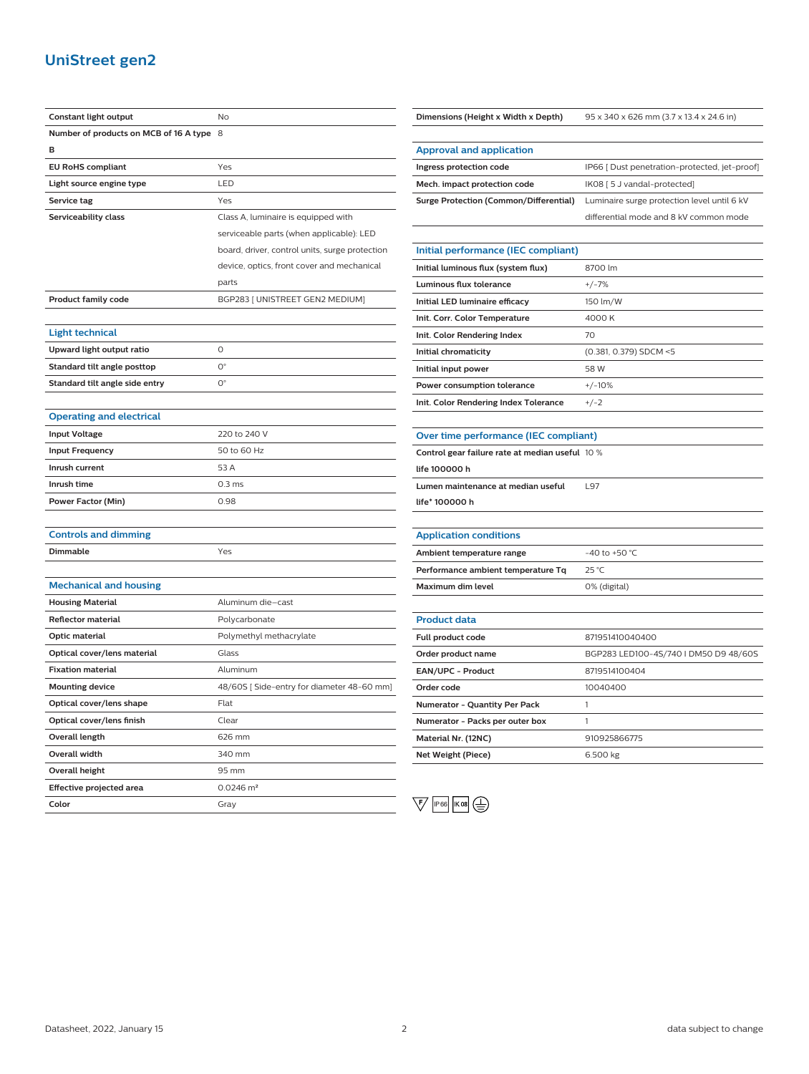## **UniStreet gen2**

| Constant light output                    | No                                             |
|------------------------------------------|------------------------------------------------|
| Number of products on MCB of 16 A type 8 |                                                |
| в                                        |                                                |
| <b>EU RoHS compliant</b>                 | Yes                                            |
| Light source engine type                 | LED                                            |
| Service tag                              | Yes                                            |
| Serviceability class                     | Class A, luminaire is equipped with            |
|                                          | serviceable parts (when applicable): LED       |
|                                          | board, driver, control units, surge protection |
|                                          | device, optics, front cover and mechanical     |
|                                          | parts                                          |
| <b>Product family code</b>               | BGP283 [ UNISTREET GEN2 MEDIUM]                |
|                                          |                                                |
| <b>Light technical</b>                   |                                                |
| Upward light output ratio                | O                                              |
| Standard tilt angle posttop              | $O^{\circ}$                                    |
| Standard tilt angle side entry           | $\mathsf{O}^\circ$                             |
|                                          |                                                |
| <b>Operating and electrical</b>          |                                                |
| <b>Input Voltage</b>                     | 220 to 240 V                                   |
| <b>Input Frequency</b>                   | 50 to 60 Hz                                    |
| Inrush current                           | 53 A                                           |
| Inrush time                              | 0.3 <sub>ms</sub>                              |
| <b>Power Factor (Min)</b>                | 0.98                                           |
|                                          |                                                |
| <b>Controls and dimming</b>              |                                                |
| Dimmable                                 | Yes                                            |
|                                          |                                                |
| <b>Mechanical and housing</b>            |                                                |
| <b>Housing Material</b>                  | Aluminum die-cast                              |
| <b>Reflector material</b>                | Polycarbonate                                  |
| Optic material                           | Polymethyl methacrylate                        |
| Optical cover/lens material              | Glass                                          |
| <b>Fixation material</b>                 | Aluminum                                       |
| <b>Mounting device</b>                   | 48/60S [Side-entry for diameter 48-60 mm]      |
| Optical cover/lens shape                 | Flat                                           |
| Optical cover/lens finish                | Clear                                          |
| Overall length                           | 626 mm                                         |
| Overall width                            | 340 mm                                         |
| Overall height                           | 95 mm                                          |
| Effective projected area                 | $0.0246$ m <sup>2</sup>                        |
| Color                                    | Gray                                           |

**Dimensions (Height x Width x Depth)** 95 x 340 x 626 mm (3.7 x 13.4 x 24.6 in)

| <b>Approval and application</b>               |                                               |
|-----------------------------------------------|-----------------------------------------------|
| Ingress protection code                       | IP66   Dust penetration-protected, jet-proof] |
| Mech. impact protection code                  | IK08 [ 5 J vandal-protected]                  |
| <b>Surge Protection (Common/Differential)</b> | Luminaire surge protection level until 6 kV   |
|                                               | differential mode and 8 kV common mode        |

### **Initial performance (IEC compliant) Initial luminous flux (system flux)** 8700 lm **Luminous flux tolerance** +/-7% **Initial LED luminaire efficacy** 150 lm/W **Init. Corr. Color Temperature** 4000 K **Init. Color Rendering Index** 70 **Initial chromaticity** (0.381, 0.379) SDCM <5 **Initial input power** 58 W **Power consumption tolerance**  $+/-10\%$ **Init. Color Rendering Index Tolerance** +/-2

#### **Over time performance (IEC compliant)**

**Control gear failure rate at median useful** 10 %

**life 100000 h**

**Lumen maintenance at median useful** L97

**life\* 100000 h**

# **Application conditions**

| Ambient temperature range          | $-40$ to $+50$ °C. |
|------------------------------------|--------------------|
| Performance ambient temperature Tq | 25 °C              |
| Maximum dim level                  | 0% (digital)       |

| <b>Product data</b>             |                                       |
|---------------------------------|---------------------------------------|
| Full product code               | 871951410040400                       |
| Order product name              | BGP283 LED100-4S/740   DM50 D9 48/60S |
| <b>EAN/UPC - Product</b>        | 8719514100404                         |
| Order code                      | 10040400                              |
| Numerator - Quantity Per Pack   |                                       |
| Numerator - Packs per outer box |                                       |
| Material Nr. (12NC)             | 910925866775                          |
| Net Weight (Piece)              | 6.500 kg                              |